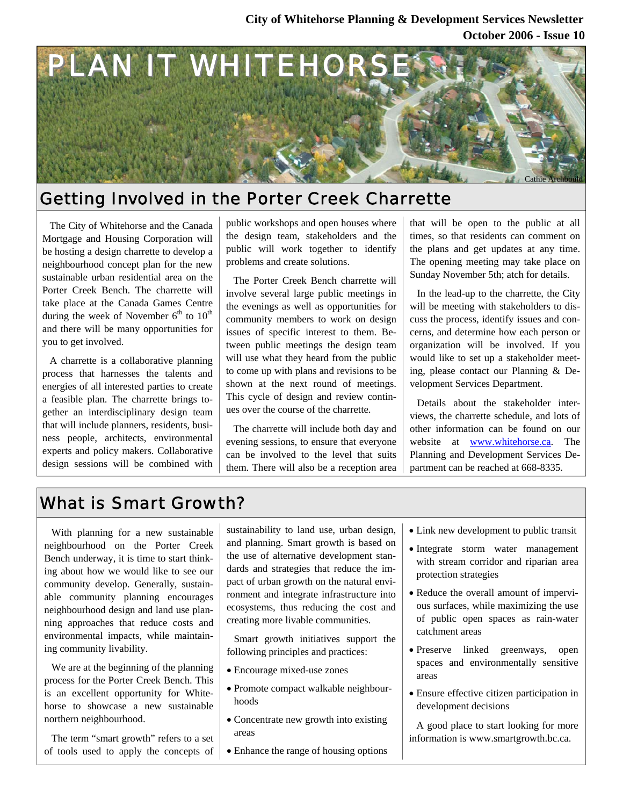### **October 2006 - Issue 10 City of Whitehorse Planning & Development Services Newsletter**



## Getting Involved in the Porter Creek Charrette

The City of Whitehorse and the Canada Mortgage and Housing Corporation will be hosting a design charrette to develop a neighbourhood concept plan for the new sustainable urban residential area on the Porter Creek Bench. The charrette will take place at the Canada Games Centre during the week of November  $6<sup>th</sup>$  to  $10<sup>th</sup>$ and there will be many opportunities for you to get involved.

A charrette is a collaborative planning process that harnesses the talents and energies of all interested parties to create a feasible plan. The charrette brings together an interdisciplinary design team that will include planners, residents, business people, architects, environmental experts and policy makers. Collaborative design sessions will be combined with

public workshops and open houses where the design team, stakeholders and the public will work together to identify problems and create solutions.

The Porter Creek Bench charrette will involve several large public meetings in the evenings as well as opportunities for community members to work on design issues of specific interest to them. Between public meetings the design team will use what they heard from the public to come up with plans and revisions to be shown at the next round of meetings. This cycle of design and review continues over the course of the charrette.

The charrette will include both day and evening sessions, to ensure that everyone can be involved to the level that suits them. There will also be a reception area that will be open to the public at all times, so that residents can comment on the plans and get updates at any time. The opening meeting may take place on Sunday November 5th; atch for details.

In the lead-up to the charrette, the City will be meeting with stakeholders to discuss the process, identify issues and concerns, and determine how each person or organization will be involved. If you would like to set up a stakeholder meeting, please contact our Planning & Development Services Department.

Details about the stakeholder interviews, the charrette schedule, and lots of other information can be found on our website at www.whitehorse.ca. The Planning and Development Services Department can be reached at 668-8335.

## What is Smart Growth?

With planning for a new sustainable neighbourhood on the Porter Creek Bench underway, it is time to start thinking about how we would like to see our community develop. Generally, sustainable community planning encourages neighbourhood design and land use planning approaches that reduce costs and environmental impacts, while maintaining community livability.

We are at the beginning of the planning process for the Porter Creek Bench. This is an excellent opportunity for Whitehorse to showcase a new sustainable northern neighbourhood.

The term "smart growth" refers to a set of tools used to apply the concepts of sustainability to land use, urban design, and planning. Smart growth is based on the use of alternative development standards and strategies that reduce the impact of urban growth on the natural environment and integrate infrastructure into ecosystems, thus reducing the cost and creating more livable communities.

Smart growth initiatives support the following principles and practices:

- Encourage mixed-use zones
- Promote compact walkable neighbourhoods
- Concentrate new growth into existing areas
- Enhance the range of housing options
- Link new development to public transit
- Integrate storm water management with stream corridor and riparian area protection strategies
- Reduce the overall amount of impervious surfaces, while maximizing the use of public open spaces as rain-water catchment areas
- Preserve linked greenways, open spaces and environmentally sensitive areas
- Ensure effective citizen participation in development decisions

A good place to start looking for more information is www.smartgrowth.bc.ca.